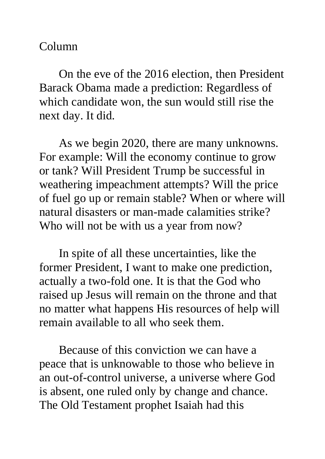## Column

On the eve of the 2016 election, then President Barack Obama made a prediction: Regardless of which candidate won, the sun would still rise the next day. It did.

As we begin 2020, there are many unknowns. For example: Will the economy continue to grow or tank? Will President Trump be successful in weathering impeachment attempts? Will the price of fuel go up or remain stable? When or where will natural disasters or man-made calamities strike? Who will not be with us a year from now?

In spite of all these uncertainties, like the former President, I want to make one prediction, actually a two-fold one. It is that the God who raised up Jesus will remain on the throne and that no matter what happens His resources of help will remain available to all who seek them.

Because of this conviction we can have a peace that is unknowable to those who believe in an out-of-control universe, a universe where God is absent, one ruled only by change and chance. The Old Testament prophet Isaiah had this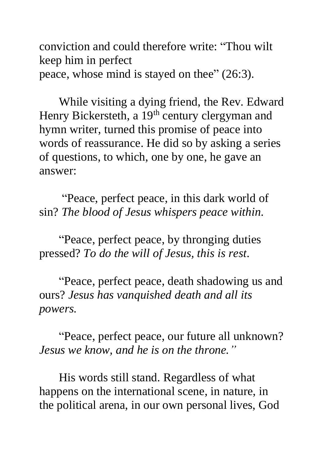conviction and could therefore write: "Thou wilt keep him in perfect peace, whose mind is stayed on thee" (26:3).

While visiting a dying friend, the Rev. Edward Henry Bickersteth, a 19<sup>th</sup> century clergyman and hymn writer, turned this promise of peace into words of reassurance. He did so by asking a series of questions, to which, one by one, he gave an answer:

"Peace, perfect peace, in this dark world of sin? *The blood of Jesus whispers peace within.*

"Peace, perfect peace, by thronging duties pressed? *To do the will of Jesus, this is rest*.

"Peace, perfect peace, death shadowing us and ours? *Jesus has vanquished death and all its powers.*

"Peace, perfect peace, our future all unknown? *Jesus we know, and he is on the throne."*

His words still stand. Regardless of what happens on the international scene, in nature, in the political arena, in our own personal lives, God